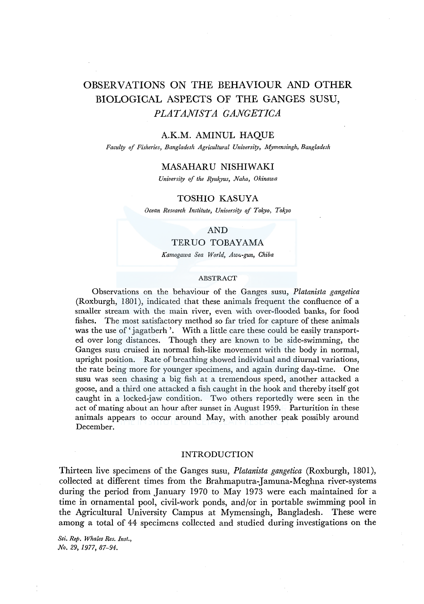# OBSERVATIONS ON THE BEHAVIOUR AND OTHER BIOLOGICAL ASPECTS OF THE GANGES SUSU, *PLATANISTA GANGETICA*

#### A.K.M. AMINUL HAQUE

*Faculty of Fisheries, Bangladesh Agricultural University, Mymensingh, Bangladesh* 

# MASAHAR U NISHIWAKI

*University of the Ryukyus, Naha, Okinawa* 

## TOSHIO KASUYA

*Ocean Research Institute, University of Tokyo, Tokyo* 

## AND

# *TERVO* TOBAYAMA

*Kamogawa Sea World, Awa-gun, Chiba* 

#### ABSTRACT

Observations on the behaviour of the Ganges susu, *Platanista gangetica*  (Roxburgh, 1801 ), indicated that these animals frequent the confluence of a smaller stream with the main river, even with over-flooded banks, for food fishes. The most satisfactory method so far tried for capture of these animals was the use of 'jagatberh'. With a little care these could be easily transported over long distances. Though they are known to be side-swimming, the Ganges susu cruised in normal fish-like movement with the body in normal, upright position. Rate of breathing showed individual and diurnal variations, the rate being more for younger specimens, and again during day-time. One susu was seen chasing a big fish at a tremendous speed, another attacked a goose, and a third one attacked a fish caught in the hook and thereby itself got caught in a locked-jaw condition. Two others reportedly were seen in the act of mating about an hour after sunset in August 1959. Parturition in these animals appears to occur around May, with another peak possibly around December.

# INTRODUCTION

Thirteen live specimens of the Ganges susu, *Platanista gangetica* (Roxburgh, 1801), collected at different times from the Brahmaputra-Jamuna-Meghna river-systems during the period from January 1970 to May 1973 were each maintained for a time in ornamental pool, civil-work ponds, and/or in portable swimming pool in the Agricultural University Campus at Mymensingh, Bangladesh. These were among a total of 44 specimens collected and studied during investigations on the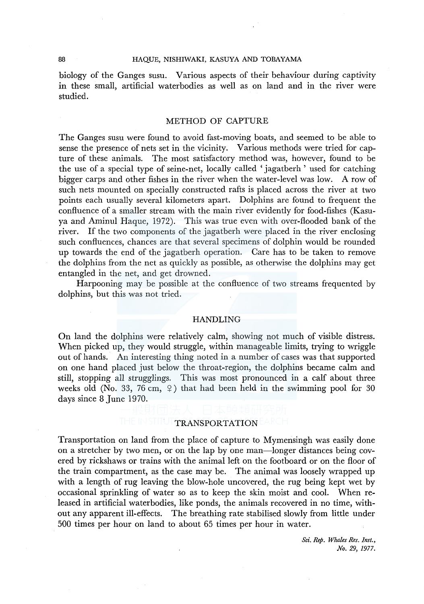#### 88 HAQUE, NISHIWAKI, KASUYA AND TOBAYAMA

biology of the Ganges susu. Various aspects of their behaviour during captivity in these small, artificial waterbodies as well as on land and in the river were studied.

## METHOD OF CAPTURE

The Ganges susu were found to avoid fast-moving boats, and seemed to be able to sense the presence of nets set in the vicinity. Various methods were tried for capture of these animals. The most satisfactory method was, however, found to be the use of a special type of seine-net, locally called 'jagatberh' used for catching bigger carps and other fishes in the river when the water-level was low. A row of such nets mounted on specially constructed rafts is placed across the river at two points each usually several kilometers apart. Dolphins are found to frequent the confluence of a smaller stream with the main river evidently for food-fishes (Kasuya and Aminul Haque, 1972). This was true even with over-flooded bank of the river. If the two components of the jagatberh were placed in the river enclosing such confluences, chances are that several specimens of dolphin would be rounded up towards the end of the jagatberh operation. Care has to be taken to remove the dolphins from the net as quickly as possible, as otherwise the dolphins may get entangled in the net, and get drowned.

Harpooning may be possible at the confluence of two streams frequented by dolphins, but this was not tried.

## HANDLING

On land the dolphins were relatively calm, showing not much of visible distress. When picked up, they would struggle, within manageable limits, trying to wriggle out of hands. An interesting thing noted in a number of cases was that supported on one hand placed just below the throat-region, the dolphins became calm and still, stopping all strugglings. This was most pronounced in a calf about three weeks old (No. 33, 76 cm,  $\varphi$ ) that had been held in the swimming pool for 30 days since 8 June 1970.

#### TRANSPORTATION

Transportation on land from the place of capture to Mymensingh was easily done on a stretcher by two men, or on the lap by one man-longer distances being covered by rickshaws or trains with the animal left on the footboard or on the floor of the train compartment, as the case may be. The animal was loosely wrapped up with a length of rug leaving the blow-hole uncovered, the rug being kept wet by occasional sprinkling of water so as to keep the skin moist and cool. When released in artificial waterbodies, like ponds, the animals recovered in no time, without any apparent ill-effects. The breathing rate stabilised slowly from little under 500 times per hour on land to about 65 times per hour in water.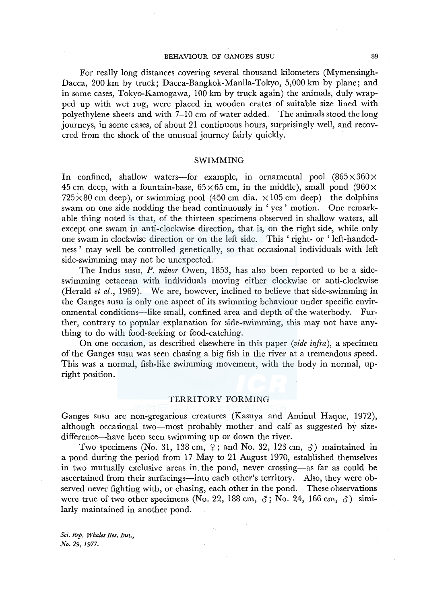#### BEHAVIOUR OF GANGES SUSU 89

For really long distances covering several thousand kilometers (Mymensingh-Dacca, 200 km by truck; Dacca-Bangkok-Manila-Tokyo, 5,000 km by plane; and in some cases, Tokyo-Kamogawa, 100 km by truck again) the animals, duly wrapped up with wet rug, were placed in wooden crates of suitable size lined with polyethylene sheets and with 7-10 cm of water added. The animals stood the long journeys, in some cases, of about 21 continuous hours, surprisingly well, and recovered from the shock of the unusual journey fairly quickly.

#### SWIMMING

In confined, shallow waters-for example, in ornamental pool  $(865 \times 360 \times$ 45 cm deep, with a fountain-base,  $65\times65$  cm, in the middle), small pond (960 $\times$  $725 \times 80$  cm deep), or swimming pool (450 cm dia.  $\times 105$  cm deep)—the dolphins swam on one side nodding the head continuously in ' yes ' motion. One remarkable thing noted is that, of the thirteen specimens observed in shallow waters, all except one swam in anti-clockwise direction, that is, on the right side, while only one swam in clockwise direction or on the left side. This 'right- or 'left-handedness' may well be controlled genetically, so that occasional individuals with left side-swimming may not be unexpected.

The Indus susu, *P. minor* Owen, 1853, has also been reported to be a sideswimming cetacean with individuals moving either clockwise or anti-clockwise (Herald *et al.,* 1969). We are, however, inclined to believe that side-swimming in the Ganges susu is only one aspect of its swimming behaviour under specific environmental conditions-like small, confined area and depth of the waterbody. Further, contrary to popular explanation for side-swimming, this may not have anything to do with food-seeking or food-catching.

On one occasion, as described elsewhere in this paper *(vide infra),* a specimen of the Ganges susu was seen chasing a big fish in the river at a tremendous speed. This was a normal, fish-like swimming movement, with the body in normal, upright position.

## TERRITORY FORMING

Ganges susu are non-gregarious creatures (Kasuya and Aminul Haque, 1972), although occasional two-most probably mother and calf as suggested by sizedifference—have been seen swimming up or down the river.

Two specimens (No. 31, 138 cm,  $\varphi$ ; and No. 32, 123 cm,  $\varphi$ ) maintained in a pond during the period from 17 May to 21 August 1970, established themselves in two mutually exclusive areas in the pond, never crossing-as far as could be ascertained from their surfacings-into each other's territory. Also, they were observed never fighting with, or chasing, each other in the pond. These observations were true of two other specimens (No. 22, 188 cm,  $\delta$ ; No. 24, 166 cm,  $\delta$ ) similarly maintained in another pond.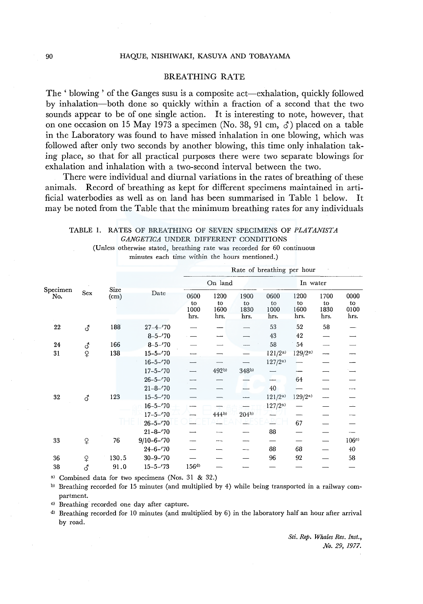## BREATHING RATE

The ' blowing' of the Ganges susu is a composite act—exhalation, quickly followed by inhalation-both done so quickly within a fraction of a second that the two sounds appear to be of one single action. It is interesting to note, however, that on one occasion on 15 May 1973 a specimen (No. 38, 91 cm,  $\zeta$ ) placed on a table in the Laboratory was found to have missed inhalation in one blowing, which was followed after only two seconds by another blowing, this time only inhalation taking place, so that for all practical purposes there were two separate blowings for exhalation and inhalation with a two-second interval between the two.

There were individual and diurnal variations in the rates of breathing of these animals. Record of breathing as kept for different specimens maintained in artificial waterbodies as well as on land has been summarised in Table 1 below. It may be noted from the Table that the minimum breathing rates for any individuals

TABLE 1. RATES OF BREATHING OF SEVEN SPECIMENS OF *PLATANISTA GANGETICA* UNDER DIFFERENT CONDITIONS

(Unless otherwise stated, breathing rate was recorded for 60 continuous minutes each time within the hours mentioned.)

|                    |                                  | Size<br>$\rm (cm)$ | Date                             | Rate of breathing per hour |                            |                            |                            |                            |                            |                            |
|--------------------|----------------------------------|--------------------|----------------------------------|----------------------------|----------------------------|----------------------------|----------------------------|----------------------------|----------------------------|----------------------------|
| $S$ pecimen<br>No. | Sex                              |                    |                                  | On land                    |                            |                            | In water                   |                            |                            |                            |
|                    |                                  |                    |                                  | 0600<br>to<br>1000<br>hrs. | 1200<br>to<br>1600<br>hrs. | 1900<br>to<br>1830<br>hrs. | 0600<br>to<br>1000<br>hrs. | 1200<br>to<br>1600<br>hrs. | 1700<br>to<br>1830<br>hrs. | 0000<br>to<br>0100<br>hrs. |
| 22                 | $\vec{\delta}$                   | 188                | $27 - 4 - 70$<br>$8 - 5 - 70$    |                            |                            |                            | 53<br>43                   | 52<br>42                   | 58                         |                            |
| 24<br>31           | $\vec{\delta}$<br>$\overline{Q}$ | 166<br>138         | $8 - 5 - 70$<br>$15 - 5 - '70$   |                            |                            |                            | 58<br>121/2a               | 54<br>129/2 <sup>a</sup>   |                            |                            |
|                    |                                  |                    | $16 - 5 - 70$<br>$17 - 5 - 70$   |                            | 492b)                      | 348b)                      | 127/2 <sup>a</sup>         |                            |                            |                            |
|                    |                                  |                    | $26 - 5 - 70$<br>$21 - 8 - 70$   |                            |                            |                            | 40                         | 64                         |                            |                            |
| 32                 | <b>ි</b>                         | 123                | $15 - 5 - '70$<br>$16 - 5 - 70$  |                            |                            |                            | $121/2^{a}$<br>$127/2^{a}$ | 129/2 <sup>a</sup>         |                            |                            |
|                    |                                  |                    | $17 - 5 - 70$<br>$26 - 5 - 70$   |                            | 444b)                      | $204^{b}$                  |                            | 67                         |                            |                            |
| 33                 | ¥                                | 76                 | $21 - 8 - 70$<br>$9/10 - 6 - 70$ |                            |                            |                            | 88                         |                            |                            | 106e                       |
| 36                 | $\, \mathfrak{P}$                | 130.5              | $24 - 6 - 70$<br>$30 - 9 - '70$  |                            |                            |                            | 88<br>96                   | 68<br>92                   |                            | 40<br>58                   |
| 38                 | δ                                | 91.0               | $15 - 5 - 73$                    | 156 <sup>d</sup>           |                            |                            |                            |                            |                            |                            |

<sup>a)</sup> Combined data for two specimens (Nos. 31 & 32.)

b) Breathing recorded for 15 minutes (and multiplied by 4) while being transported in a railway compartment.

c) Breathing recorded one day after capture.

d> Breathing recorded for 10 minutes (and multiplied by 6) in the laboratory half an hour after arrival by road.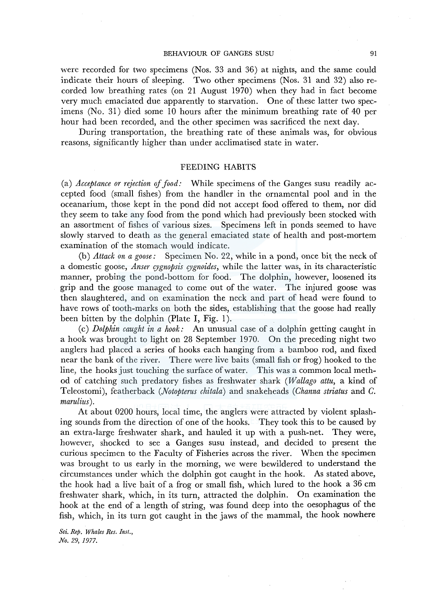were recorded for two specimens (Nos. 33 and 36) at nights, and the same could indicate their hours of sleeping. Two other specimens (Nos. 31 and 32) also recorded low breathing rates (on 21 August 1970) when they had in fact become very much emaciated due apparently to starvation. One of these latter two specimens (No. 31) died some 10 hours after the minimum breathing rate of 40 per hour had been recorded, and the other specimen was sacrificed the next day.

During transportation, the breathing rate of these animals was, for obvious reasons, significantly higher than under acclimatised state in water.

## FEEDING HABITS

(a) *Acceptance or rejection of food:* While specimens of the Ganges susu readily accepted food (small fishes) from the handler in the ornamental pool and in the oceanarium, those kept in the pond did not accept food offered to them, nor did they seem to take any food from the pond which had previously been stocked with an assortment of fishes of various sizes. Specimens left in ponds seemed to have slowly starved to death as the general emaciated state of health and post-mortem examination of the stomach would indicate.

(b) *Attack on a goose:* Specimen No. 22, while in a pond, once bit the neck of a domestic goose, *Anser cygnopsis cygnoides,* while the latter was, in its characteristic manner, probing the pond-bottom for food. The dolphin, however, loosened its grip and the goose managed to come out of the water. The injured goose was then slaughtered, and on examination the neck and part of head were found to have rows of tooth-marks on both the sides, establishing that the goose had really been bitten by the dolphin (Plate I, Fig. 1).

( c) *Dolphin caught in a hook:* An unusual case of a dolphin getting caught in a hook was brought to light on 28 September 1970. On the preceding night two anglers had placed a series of hooks each hanging from a bamboo rod, and fixed near the bank of the river. There were live baits (small fish or frog) hooked to the line, the hooks just touching the surface of water. This was a common local method of catching such predatory fishes as freshwater shark *(Wallago attu,* a kind of Teleostomi), featherback *(Notopterus chitala)* and snakeheads *(Channa striatus* and *C. marulius).* 

At about 0200 hours, local time, the anglers were attracted by violent splashing sounds from the direction of one of the hooks. They took this to be caused by an extra-large freshwater shark, and hauled it up with a push-net. They were, however, shocked to see a Ganges susu instead, and decided to present the curious specimen to the Faculty of Fisheries across the river. When the specimen was brought to us early in the morning, we were bewildered to understand the circumstances under which the dolphin got caught in the hook. As stated above, the hook had a live bait of a frog or small fish, which lured to the hook a 36 cm freshwater shark, which, in its turn, attracted the dolphin. On examination the hook at the end of a length of string, was found deep into the oesophagus of the fish, which, in its turn got caught in the jaws of the mammal, the hook nowhere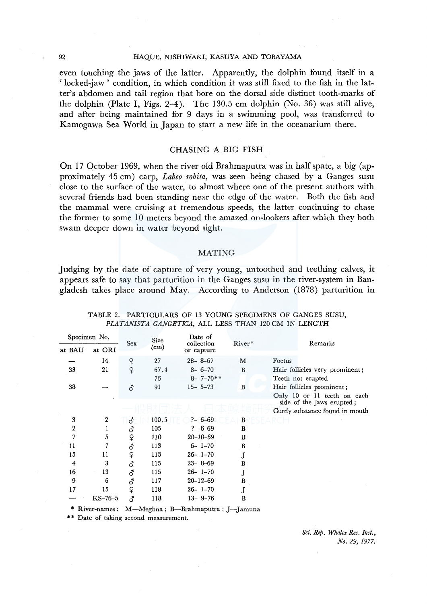#### 92 HAQUE, NISHIWAKI, KASUYA AND TOBAYAMA

even touching the jaws of the latter. Apparently, the dolphin found itself in a 'locked-jaw ' condition, in which condition it was still fixed to the fish in the latter's abdomen and tail region that bore on the dorsal side distinct tooth-marks of the dolphin (Plate I, Figs. 2-4). The 130.5 cm dolphin (No. 36) was still alive, and after being maintained for 9 days in a swimming pool, was transferred to Kamogawa Sea World in Japan to start a new life in the oceanarium there.

## CHASING A BIG FISH

On 17 October 1969, when the river old Brahmaputra was in half spate, a big (approximately 45 cm) carp, *Labeo rohita,* was seen being chased by a Ganges susu close to the surface of the water, to almost where one of the present authors with several friends had been standing near the edge of the water. Both the fish and the mammal were cruising at tremendous speeds, the latter continuing to chase the former to some 10 meters beyond the amazed on-lookers after which they both swam deeper down in water beyond sight.

#### MATING

Judging by the date of capture of very young, untoothed and teething calves, it appears safe to say that parturition in the Ganges susu in the river-system in Bangladesh takes place around May. According to Anderson (1878) parturition in

| Specimen No.     |                  | Sex            | <b>Size</b> | Date of<br>collection          | River*   | Remarks                                                                                    |  |  |
|------------------|------------------|----------------|-------------|--------------------------------|----------|--------------------------------------------------------------------------------------------|--|--|
| at BAU           | at ORI           |                | $\rm (cm)$  | or capture                     |          |                                                                                            |  |  |
|                  | 14               | ♀              | 27          | $28 - 8 - 67$                  | М        | Foetus                                                                                     |  |  |
| 33               | 21               | ¥              | 67.4<br>76  | $8 - 6 - 70$<br>$8 - 7 - 70**$ | $\bf{B}$ | Hair follicles very prominent;<br>Teeth not erupted                                        |  |  |
| 38               |                  | $\vec{\delta}$ | 91          | $15 - 5 - 73$                  | B        | Hair follicles prominent;                                                                  |  |  |
|                  |                  |                |             |                                |          | Only 10 or 11 teeth on each<br>side of the jaws erupted;<br>Curdy substance found in mouth |  |  |
| 3                | $\boldsymbol{2}$ | ි              | 100.5       | $-6-69$                        | B        |                                                                                            |  |  |
| $\boldsymbol{2}$ |                  | ර              | 105         | $? - 6 - 69$                   | B        |                                                                                            |  |  |
| 7                | 5                | ₽              | 110         | $20 - 10 - 69$                 | B        |                                                                                            |  |  |
| 11               | 7                | $\vec{\delta}$ | 113         | $6 - 1 - 70$                   | $\bf{B}$ |                                                                                            |  |  |
| 15               | 11               | ₽              | 113         | $26 - 1 - 70$                  | J        |                                                                                            |  |  |
| $\overline{4}$   | 3                | $\vec{\delta}$ | 115         | $23 - 8 - 69$                  | B        |                                                                                            |  |  |
| 16               | 13               | ර              | 115         | $26 - 1 - 70$                  | J        |                                                                                            |  |  |
| 9                | 6                | ර              | 117         | $20 - 12 - 69$                 | в        |                                                                                            |  |  |
| 17               | 15               | ₽              | 118         | $26 - 1 - 70$                  | J        |                                                                                            |  |  |
|                  | $KS-76-5$        | గే             | 118         | $13 - 9 - 76$                  | В        |                                                                                            |  |  |

#### TABLE 2. PARTICULARS OF 13 YOUNG SPECIMENS OF GANGES SUSU, *PLATANISTA GANGETTCA,* ALL LESS THAN 120 CM IN LENGTH

\* River-names : M-Meghna; B-Brahmaputra; J-Jamuna

\*\* Date of taking second measurement.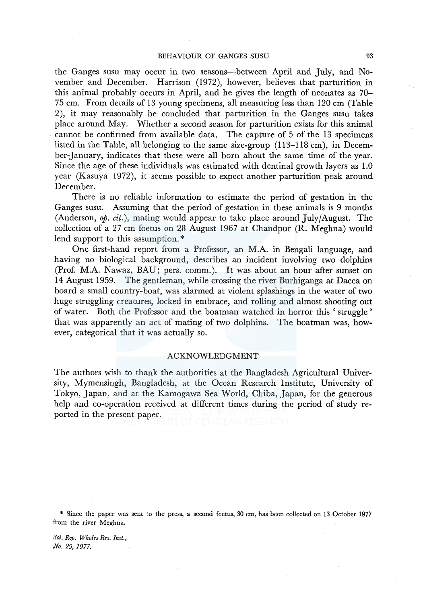the Ganges susu may occur in two seasons-between April and July, and November and December. Harrison (1972), however, believes that parturition in this animal probably occurs in April, and he gives the length of neonates as 70- 75 cm. From details of 13 young specimens, all measuring less than 120 cm (Table 2), it may reasonably be concluded that parturition in the Ganges susu takes place around May. Whether a second season for parturition exists for this animal cannot be confirmed from available data. The capture of 5 of the 13 specimens listed in the Table, all belonging to the same size-group (113-118 cm), in December-January, indicates that these were all born about the same time of the year. Since the age of these individuals was estimated with dentinal growth layers as 1.0 year (Kasuya 1972), it seems possible to expect another parturition peak around December.

There is no reliable information to estimate the period of gestation in the Ganges susu. Assuming that the period of gestation in these animals is 9 months (Anderson, *op. cit.),* mating would appear to take place around July/August. The collection of a 27 cm foetus on 28 August 1967 at Chandpur (R. Meghna) would lend support to this assumption.\*

One first-hand report from a Professor, an M.A. in Bengali language, and having no biological background, describes an incident involving two dolphins (Prof. M.A. Nawaz, BAU; pers. comm.). It was about an hour after sunset on 14 August 1959. The gentleman, while crossing the river Burhiganga at Dacca on board a small country-boat, was alarmed at violent splashings in the water of two huge struggling creatures, locked in embrace, and rolling and almost shooting out of water. Both the Professor and the boatman watched in horror this 'struggle' that was apparently an act of mating of two dolphins. The boatman was, however, categorical that it was actually so.

## ACKNOWLEDGMENT

The authors wish to thank the authorities at the Bangladesh Agricultural University, Mymensingh, Bangladesh, at the Ocean Research Institute, University of Tokyo, Japan, and at the Kamogawa Sea World, Chiba, Japan, for the generous help and co-operation received at different times during the period of study reported in the present paper.

\* Since the paper was sent to the press, a second foetus, 30 cm, has been collected on 13 October 1977 from the river Meghna.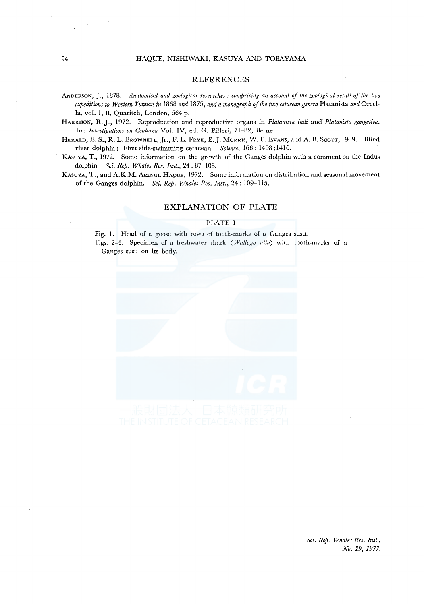#### REFERENCES

- ANDERSON, J., 1878. *Anatomical and zoological researches: comprising an account of the zoological result of the two expeditions to Western Yunnan in* 1868 *and* 1875, *and a monograph of the two cetacean genera* Platanista *and* Orcella, vol. 1. B. Quaritch, London, 564 p.
- HARRISON, R.J., 1972. Reproduction and reproductive organs in *Platanista indi* and *Platanista gangetica.*  In: *Investigatians on Centacea* Vol. IV, ed. G. Pilleri, 71-82, Berne.
- HERALD, E. S., R. L. BROWNELL, Jr., F. L. FRYE, E. J. MORRIS, W. E. EVANS, and A. B. SCOTT, 1969. Blind river dolphin: First side-swimming cetacean. *Science,* 166: 1408 :1410.
- KAsUYA, T., 1972. Some information on the growth of the Ganges dolphin with a comment on the Indus dolphin. *Sci. Rep. Whales Res. Inst.,* 24: 87-108.
- KASUYA, T., and A.K.M. AMINUL HAQUE, 1972. Some information on distribution and seasonal movement of the Ganges dolphin. *Sci. Rep. Whales Res. Inst.,* 24: 109-115.

#### EXPLANATION OF PLATE

#### PLATE I

Fig. 1. Head of a goose with rows of tooth-marks of a Ganges susu. Figs. 2-4. Specimen of a freshwater shark ( *Wallago attu)* with tooth-marks of a Ganges susu on its body.